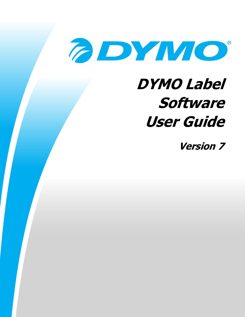

# **DYMO Label Software User Guide**

**Version 7**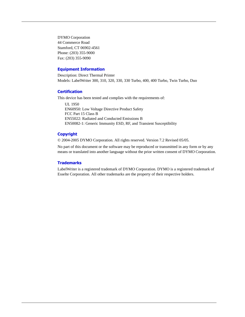DYMO Corporation 44 Commerce Road Stamford, CT 06902-4561 Phone: (203) 355-9000 Fax: (203) 355-9090

#### **Equipment Information**

Description: Direct Thermal Printer Models: LabelWriter 300, 310, 320, 330, 330 Turbo, 400, 400 Turbo, Twin Turbo, Duo

#### **Certification**

This device has been tested and complies with the requirements of:

UL 1950 EN60950: Low Voltage Directive Product Safety FCC Part 15 Class B EN55022: Radiated and Conducted Emissions B EN50082-1: Generic Immunity ESD, RF, and Transient Susceptibility

#### **Copyright**

© 2004-2005 DYMO Corporation. All rights reserved. Version 7.2 Revised 05/05.

No part of this document or the software may be reproduced or transmitted in any form or by any means or translated into another language without the prior written consent of DYMO Corporation.

#### **Trademarks**

LabelWriter is a registered trademark of DYMO Corporation. DYMO is a registered trademark of Esselte Corporation. All other trademarks are the property of their respective holders.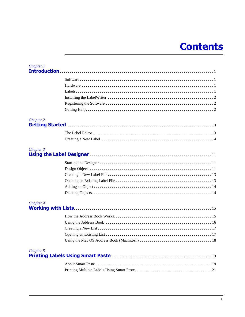# **Contents**

| Chapter 1 |  |
|-----------|--|
|           |  |
|           |  |
|           |  |
|           |  |
|           |  |
|           |  |
| Chapter 2 |  |
|           |  |
|           |  |
| Chapter 3 |  |
|           |  |
|           |  |
|           |  |
|           |  |
|           |  |
|           |  |
| Chapter 4 |  |
|           |  |
|           |  |
|           |  |
|           |  |
|           |  |
|           |  |
| Chapter 5 |  |
|           |  |
|           |  |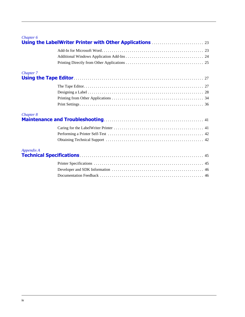#### *[Chapter 6](#page-26-0)*

| Chapter 7  |  |
|------------|--|
|            |  |
|            |  |
|            |  |
|            |  |
|            |  |
| Chapter 8  |  |
|            |  |
|            |  |
|            |  |
| Appendix A |  |
|            |  |
|            |  |
|            |  |
|            |  |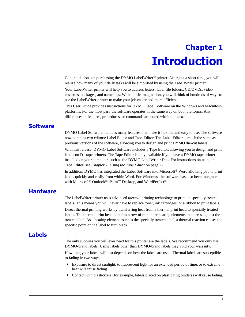# **Chapter 1 Introduction**

<span id="page-4-1"></span><span id="page-4-0"></span>Congratulations on purchasing the DYMO LabelWriter® printer. After just a short time, you will realize how many of your daily tasks will be simplified by using the LabelWriter printer.

Your LabelWriter printer will help you to address letters; label file folders, CD/DVDs, video cassettes, packages, and name tags. With a little imagination, you will think of hundreds of ways to use the LabelWriter printer to make your job easier and more efficient.

This User Guide provides instructions for DYMO Label Software on the Windows and Macintosh platforms. For the most part, the software operates in the same way on both platforms. Any differences in features, procedures, or commands are noted within the text.

# <span id="page-4-2"></span>**Software**

DYMO Label Software includes many features that make it flexible and easy to use. The software now contains two editors: Label Editor and Tape Editor. The Label Editor is much the same as previous versions of the software, allowing you to design and print DYMO die-cut labels.

With this release, DYMO Label Software includes a Tape Editor, allowing you to design and print labels on D1 tape printers. The Tape Editor is only available if you have a DYMO tape printer installed on your computer, such as the DYMO LabelWriter Duo. For instructions on using the Tape Editor, see *[Chapter 7, Using the Tape Editor](#page-30-3)* on page 27.

In addition, DYMO has integrated the Label Software into Microsoft® Word allowing you to print labels quickly and easily from within Word. For Windows, the software has also been integrated with Microsoft<sup>®</sup> Outlook<sup>®</sup>, Palm<sup>™</sup> Desktop, and WordPerfect<sup>®</sup>.

# <span id="page-4-3"></span>**Hardware**

<span id="page-4-5"></span>The LabelWriter printer uses advanced *thermal* printing technology to print on specially treated labels. This means you will never have to replace toner, ink cartridges, or a ribbon to print labels. Direct thermal printing works by transferring heat from a thermal print head to specially treated labels. The thermal print head contains a row of miniature heating elements that press against the treated label. As a heating element touches the specially treated label, a thermal reaction causes the specific point on the label to turn black.

# <span id="page-4-4"></span>**Labels**

The only supplies you will ever need for this printer are the labels. We recommend you only use DYMO-brand labels. Using labels other than DYMO-brand labels may void your warranty.

How long your labels will last depends on how the labels are used. Thermal labels are susceptible to fading in two ways:

- Exposure to direct sunlight, to fluorescent light for an extended period of time, or to extreme heat will cause fading.
- Contact with plasticizers (for example, labels placed on plastic ring binders) will cause fading.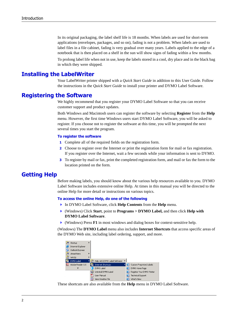<span id="page-5-5"></span>In its original packaging, the label shelf life is 18 months. When labels are used for short-term applications (envelopes, packages, and so on), fading is not a problem. When labels are used to label files in a file cabinet, fading is very gradual over many years. Labels applied to the edge of a notebook that is then placed on a shelf in the sun will show signs of fading within a few months.

<span id="page-5-6"></span>To prolong label life when not in use, keep the labels stored in a cool, dry place and in the black bag in which they were shipped.

## <span id="page-5-0"></span>**Installing the LabelWriter**

Your LabelWriter printer shipped with a *Quick Start Guide* in addition to this User Guide. Follow the instructions in the *Quick Start Guide* to install your printer and DYMO Label Software.

### <span id="page-5-3"></span><span id="page-5-1"></span>**Registering the Software**

We highly recommend that you register your DYMO Label Software so that you can receive customer support and product updates.

<span id="page-5-7"></span>Both Windows and Macintosh users can register the software by selecting **Register** from the **Help** menu. However, the first time Windows users start DYMO Label Software, you will be asked to register. If you choose not to register the software at this time, you will be prompted the next several times you start the program.

#### **To register the software**

- **1** Complete all of the required fields on the registration form.
- **2** Choose to register over the Internet or print the registration form for mail or fax registration. If you register over the Internet, wait a few seconds while your information is sent to DYMO.
- **3** To register by mail or fax, print the completed registration form, and mail or fax the form to the location printed on the form.

## <span id="page-5-4"></span><span id="page-5-2"></span>**Getting Help**

Before making labels, you should know about the various help resources available to you. DYMO Label Software includes extensive online Help. At times in this manual you will be directed to the online Help for more detail or instructions on various topics.

#### **To access the online Help, do one of the following**

- In DYMO Label Software, click **Help Contents** from the **Help** menu.
- (Windows) Click **Start**, point to **Programs > DYMO Label,** and then click **Help with DYMO Label Software**.
- (Windows) Press **F1** in most windows and dialog boxes for context-sensitive help.

(Windows) The **DYMO Label** menu also includes **Internet Shortcuts** that access specific areas of the DYMO Web site, including label ordering, support, and more.



These shortcuts are also available from the **Help** menu in DYMO Label Software.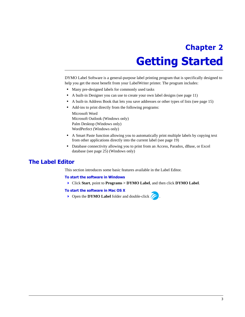# <span id="page-6-3"></span>**Chapter 2 Getting Started**

<span id="page-6-1"></span><span id="page-6-0"></span>DYMO Label Software is a general-purpose label printing program that is specifically designed to help you get the most benefit from your LabelWriter printer. The program includes:

- **•** Many pre-designed labels for commonly used tasks
- A built-in Designer you can use to create your own label designs (see [page 11](#page-14-4))
- **•** A built-in Address Book that lets you save addresses or other types of lists (see [page 15](#page-18-3))
- **•** Add-ins to print directly from the following programs:

Microsoft Word Microsoft Outlook (Windows only) Palm Desktop (Windows only) WordPerfect (Windows only)

- A Smart Paste function allowing you to automatically print multiple labels by copying text from other applications directly into the current label (see [page 19](#page-22-3))
- Database connectivity allowing you to print from an Access, Paradox, dBase, or Excel database (see [page 25\)](#page-28-1) (Windows only)

# <span id="page-6-2"></span>**The Label Editor**

This section introduces some basic features available in the Label Editor.

#### **To start the software in Windows**

Click **Start**, point to **Programs > DYMO Label**, and then click **DYMO Label**.

#### **To start the software in Mac OS X**

**Open the DYMO Label** folder and double-click  $\sqrt{\phantom{a}}$ .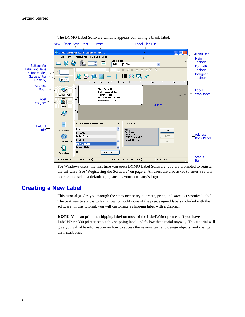

The DYMO Label Software window appears containing a blank label.

<span id="page-7-2"></span>For Windows users, the first time you open DYMO Label Software, you are prompted to register the software. See ["Registering the Software" on page 2.](#page-5-3) All users are also asked to enter a return address and select a default logo, such as your company's logo.

# <span id="page-7-1"></span><span id="page-7-0"></span>**Creating a New Label**

This tutorial guides you through the steps necessary to create, print, and save a customized label. The best way to start is to learn how to modify one of the pre-designed labels included with the software. In this tutorial, you will customize a shipping label with a graphic.

**NOTE** You can print the shipping label on most of the LabelWriter printers. If you have a LabelWriter 300 printer, select this shipping label and follow the tutorial anyway. This tutorial will give you valuable information on how to access the various text and design objects, and change their attributes.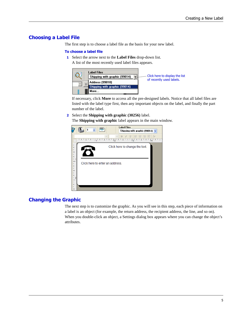# **Choosing a Label File**

<span id="page-8-0"></span>The first step is to choose a label file as the basis for your new label.

#### **To choose a label file**

- **1** Select the arrow next to the **Label Files** drop-down list.
	- A list of the most recently used label files appears.



If necessary, click **More** to access all the pre-designed labels. Notice that all label files are listed with the label type first, then any important objects on the label, and finally the part number of the label.

**2** Select the **Shipping with graphic (30256)** label.

The **Shipping with graphic** label appears in the main window.



# **Changing the Graphic**

The next step is to customize the graphic. As you will see in this step, each piece of information on a label is an object (for example, the return address, the recipient address, the line, and so on). When you double-click an object, a Settings dialog box appears where you can change the object's attributes.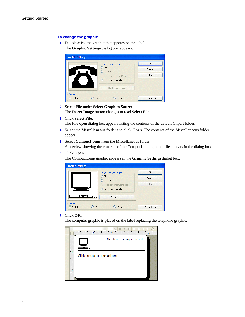#### **To change the graphic**

**1** Double-click the graphic that appears on the label. The **Graphic Settings** dialog box appears.



- **2** Select **File** under **Select Graphics Source**. The **Insert Image** button changes to read **Select File**.
- **3** Click **Select File**.

The File open dialog box appears listing the contents of the default Clipart folder.

- **4** Select the **Miscellaneous** folder and click **Open**. The contents of the Miscellaneous folder appear.
- **5** Select **Comput1.bmp** from the Miscellaneous folder. A preview showing the contents of the Comput1.bmp graphic file appears in the dialog box.
- **6** Click **Open**.

The Comput1.bmp graphic appears in the **Graphic Settings** dialog box.

| <b>Graphic Settings</b>            | $\odot$ File | <b>Select Graphics Source</b><br>C Clipboard<br>Video for Windows Device<br>◯ Use Default Logo File | <b>OK</b><br>Cancel<br>Help |
|------------------------------------|--------------|-----------------------------------------------------------------------------------------------------|-----------------------------|
|                                    |              | Select File                                                                                         |                             |
| <b>Border Type:</b><br>⊙ No Border | `hin         | Thick                                                                                               | <b>Border Color</b>         |

**7** Click **OK**.

The computer graphic is placed on the label replacing the telephone graphic.

|   |                                                            | $\vee$ B $I$ U $\equiv$ $\equiv$ $\equiv$ $\equiv$ $\equiv$ $\parallel$ $f$ F<br>ŗ<br>$\overline{2}$<br>ls.<br>l 1<br>١4 |
|---|------------------------------------------------------------|--------------------------------------------------------------------------------------------------------------------------|
|   | ۳                                                          | Click here to change the text.                                                                                           |
| k | $\frac{1}{2}$<br>J,<br>Ī<br>÷<br>$\frac{1}{2}$<br>$\vdash$ | Click here to enter an address                                                                                           |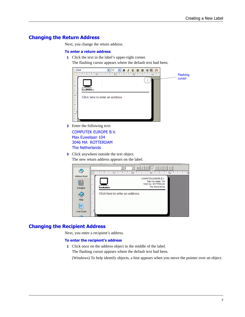# **Changing the Return Address**

Next, you change the return address.

#### **To enter a return address**

- **1** Click the text in the label's upper-right corner.
	- The flashing cursor appears where the default text had been. Arial



**2** Enter the following text:

COMPUTEK EUROPE B.V. Max Euwelaan 104 3046 MA ROTTERDAM The Netherlands

**3** Click anywhere outside the text object. The new return address appears on the label.



# **Changing the Recipient Address**

Next, you enter a recipient's address.

#### **To enter the recipient's address**

**1** Click once on the address object in the middle of the label. The flashing cursor appears where the default text had been. (Windows) To help identify objects, a hint appears when you move the pointer over an object.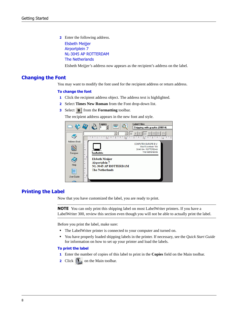**2** Enter the following address. Elsbeth Meijjer Airportplein 7 NL-3045 AP ROTTERDAM The Netherlands

Elsbeth Meijjer's address now appears as the recipient's address on the label.

### **Changing the Font**

You may want to modify the font used for the recipient address or return address.

#### **To change the font**

- **1** Click the recipient address object. The address text is highlighted.
- **2** Select **Times New Roman** from the Font drop-down list.
- **3** Select **B** from the **Formatting** toolbar.

The recipient address appears in the new font and style.



### **Printing the Label**

<span id="page-11-0"></span>Now that you have customized the label, you are ready to print.

**NOTE** You can only print this shipping label on most LabelWriter printers. If you have a LabelWriter 300, review this section even though you will not be able to actually print the label.

Before you print the label, make sure:

- **•** The LabelWriter printer is connected to your computer and turned on.
- **•** You have properly loaded shipping labels in the printer. If necessary, see the *Quick Start Guide* for information on how to set up your printer and load the labels.

#### **To print the label**

- **1** Enter the number of copies of this label to print in the **Copies** field on the Main toolbar.
- **2** Click **on** the Main toolbar.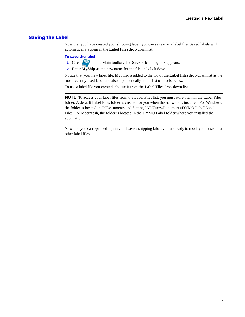### **Saving the Label**

<span id="page-12-0"></span>Now that you have created your shipping label, you can save it as a label file. Saved labels will automatically appear in the **Label Files** drop-down list.

#### **To save the label**

- **1** Click on the Main toolbar. The **Save File** dialog box appears.
- **2** Enter **MyShip** as the new name for the file and click **Save**.

Notice that your new label file, MyShip, is added to the top of the **Label Files** drop-down list as the most recently used label and also alphabetically in the list of labels below.

To use a label file you created, choose it from the **Label Files** drop-down list.

**NOTE** To access your label files from the Label Files list, you must store them in the Label Files folder. A default Label Files folder is created for you when the software is installed. For Windows, the folder is located in C:\Documents and Settings\All Users\Documents\DYMO Label\Label Files. For Macintosh, the folder is located in the DYMO Label folder where you installed the application.

Now that you can open, edit, print, and save a shipping label, you are ready to modify and use most other label files.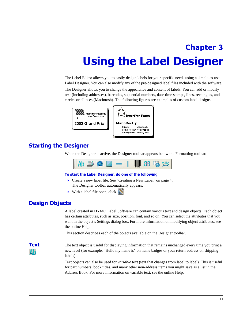# <span id="page-14-4"></span><span id="page-14-0"></span>**Chapter 3 Using the Label Designer**

<span id="page-14-8"></span><span id="page-14-7"></span><span id="page-14-1"></span>The Label Editor allows you to easily design labels for your specific needs using a simple-to-use Label Designer. You can also modify any of the pre-designed label files included with the software.

The Designer allows you to change the appearance and content of labels. You can add or modify text (including addresses), barcodes, sequential numbers, date-time stamps, lines, rectangles, and circles or ellipses (Macintosh). The following figures are examples of custom label designs.



# <span id="page-14-2"></span>**Starting the Designer**

<span id="page-14-5"></span>When the Designer is active, the Designer toolbar appears below the Formatting toolbar.

<span id="page-14-6"></span>

#### **To start the Label Designer, do one of the following**

- Create a new label file. See ["Creating a New Label" on page 4](#page-7-1). The Designer toolbar automatically appears.
- $\triangleright$  With a label file open, click  $\triangleright$

# <span id="page-14-3"></span>**Design Objects**

<span id="page-14-9"></span>A label created in DYMO Label Software can contain various text and design objects. Each object has certain attributes, such as size, position, font, and so on. You can select the attributes that you want in the object's Settings dialog box. For more information on modifying object attributes, see the online Help.

<span id="page-14-10"></span>This section describes each of the objects available on the Designer toolbar.

Δb

**Text** The text object is useful for displaying information that remains unchanged every time you print a new label (for example, "Hello my name is" on name badges or your return address on shipping labels).

> Text objects can also be used for *variable* text (text that changes from label to label). This is useful for part numbers, book titles, and many other non-address items you might save as a list in the Address Book. For more information on variable text, see the online Help.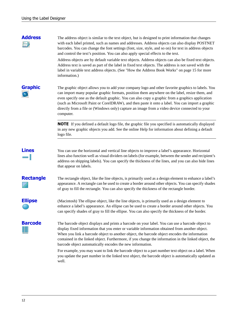# FD

**Address** The address object is similar to the text object, but is designed to print information that changes with each label printed, such as names and addresses. Address objects can also display POSTNET barcodes. You can change the font settings (font, size, style, and so on) for text in address objects and control the text's position. You can also apply special effects to the text.

> <span id="page-15-3"></span><span id="page-15-0"></span>Address objects are by default variable text objects. Address objects can also be fixed text objects. Address text is saved as part of the label in fixed text objects. The address is not saved with the label in variable text address objects. (See ["How the Address Book Works" on page 15](#page-18-4) for more information.)

**Graphic** The graphic object allows you to add your company logo and other favorite graphics to labels. You can import many popular graphic formats, position them anywhere on the label, resize them, and even specify one as the default graphic. You can also copy a graphic from a graphics application (such as Microsoft Paint or CorelDRAW), and then paste it onto a label. You can import a graphic directly from a file or (Windows only) capture an image from a video device connected to your computer.

> <span id="page-15-4"></span>**NOTE** If you defined a default logo file, the graphic file you specified is automatically displayed in any new graphic objects you add. See the online Help for information about defining a default logo file.

**Lines** You can use the horizontal and vertical line objects to improve a label's appearance. Horizontal lines also function well as visual dividers on labels (for example, between the sender and recipient's address on shipping labels). You can specify the thickness of the lines, and you can also hide lines that appear on labels.

<span id="page-15-5"></span>**Rectangle** The rectangle object, like the line objects, is primarily used as a design element to enhance a label's appearance. A rectangle can be used to create a border around other objects. You can specify shades of gray to fill the rectangle. You can also specify the thickness of the rectangle border.

<span id="page-15-2"></span>

**Ellipse** (Macintosh) The ellipse object, like the line objects, is primarily used as a design element to enhance a label's appearance. An ellipse can be used to create a border around other objects. You can specify shades of gray to fill the ellipse. You can also specify the thickness of the border.

**Barcode** The barcode object displays and prints a barcode on your label. You can use a barcode object to display fixed information that you enter or variable information obtained from another object. When you link a barcode object to another object, the barcode object encodes the information contained in the linked object. Furthermore, if you change the information in the linked object, the barcode object automatically encodes the new information.

> <span id="page-15-1"></span>For example, you may want to link the barcode object to a part number text object on a label. When you update the part number in the linked text object, the barcode object is automatically updated as well.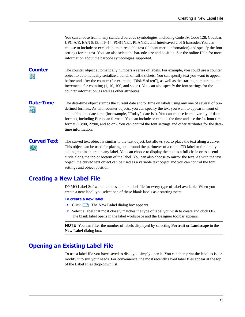<span id="page-16-14"></span><span id="page-16-13"></span><span id="page-16-12"></span><span id="page-16-10"></span><span id="page-16-9"></span><span id="page-16-8"></span><span id="page-16-5"></span><span id="page-16-4"></span><span id="page-16-3"></span><span id="page-16-2"></span>You can choose from many standard barcode symbologies, including Code 39, Code 128, Codabar, UPC A/E, EAN 8/13, ITF-14, POSTNET, PLANET, and Interleaved 2 of 5 barcodes.You can choose to include or exclude human-readable text (alphanumeric information) and specify the font settings for the text. You can also select the barcode size and position. See the online Help for more information about the barcode symbologies supported.

# HF

**Counter** The counter object automatically numbers a series of labels. For example, you could use a counter object to automatically serialize a bunch of raffle tickets. You can specify text you want to appear before and after the counter (for example, "Disk # of ten"), as well as the starting number and the increments for counting (1, 10, 100, and so on). You can also specify the font settings for the counter information, as well as other attributes.

<span id="page-16-7"></span>**Date-Time** The date-time object stamps the current date and/or time on labels using any one of several of predefined formats. As with counter objects, you can specify the text you want to appear in front of and behind the date-time (for example, "Today's date is"). You can choose from a variety of date formats, including European formats. You can include or exclude the time and use the 24-hour time format (13:00, 22:00, and so on). You can control the font settings and other attributes for the datetime information.

# <span id="page-16-6"></span>abc

**Curved Text** The curved text object is similar to the text object, but allows you to place the text along a curve. This object can be used for placing text around the perimeter of a round CD label or for simply adding text in an arc on any label. You can choose to display the text as a full circle or as a semicircle along the top or bottom of the label. You can also choose to mirror the text. As with the text object, the curved text object can be used as a variable text object and you can control the font settings and object position.

# <span id="page-16-0"></span>**Creating a New Label File**

<span id="page-16-11"></span>DYMO Label Software includes a blank label file for every type of label available. When you create a new label, you select one of these blank labels as a starting point.

#### **To create a new label**

- **1** Click **i** Click **i** Click **i** Click **i** Click **i** Click **i** Click **i** Click **i** Click **i** Click **i** Click **i** Click **i** Click **i** Click **i** Click **i** Click **i** Click **i** Click **i** Click **i** Click **i** Click **i** Click **i**
- **2** Select a label that most closely matches the type of label you wish to create and click **OK**. The blank label opens in the label workspace and the Designer toolbar appears.

**NOTE** You can filter the number of labels displayed by selecting **Portrait** or **Landscape** in the **New Label** dialog box.

# <span id="page-16-1"></span>**Opening an Existing Label File**

To use a label file you have saved to disk, you simply open it. You can then print the label as is, or modify it to suit your needs. For convenience, the most recently saved label files appear at the top of the Label Files drop-down list.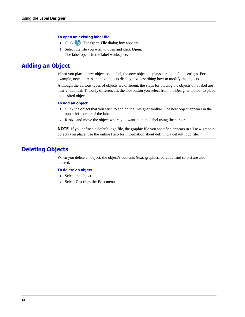#### **To open an existing label file**

- **1** Click . The **Open File** dialog box appears.
- **2** Select the file you wish to open and click **Open**. The label opens in the label workspace.

# <span id="page-17-0"></span>**Adding an Object**

<span id="page-17-3"></span><span id="page-17-2"></span>When you place a new object on a label, the new object displays certain default settings. For example, new address and text objects display text describing how to modify the objects.

Although the various types of objects are different, the steps for placing the objects on a label are nearly identical. The only difference is the tool button you select from the Designer toolbar to place the desired object.

#### **To add an object**

- **1** Click the object that you wish to add on the Designer toolbar. The new object appears in the upper-left corner of the label.
- **2** Resize and move the object where you want it on the label using the cursor.

**NOTE** If you defined a default logo file, the graphic file you specified appears in all new graphic objects you place. See the online Help for information about defining a default logo file.

# <span id="page-17-1"></span>**Deleting Objects**

When you delete an object, the object's contents (text, graphics, barcode, and so on) are also deleted.

#### **To delete an object**

- **1** Select the object.
- **2** Select **Cut** from the **Edit** menu.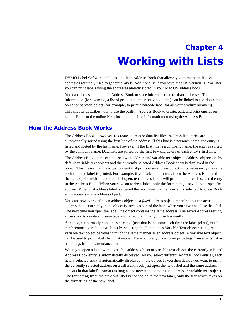# <span id="page-18-3"></span><span id="page-18-0"></span>**Chapter 4 Working with Lists**

<span id="page-18-1"></span>DYMO Label Software includes a built-in Address Book that allows you to maintain lists of addresses routinely used to generate labels. Additionally, if you have Mac OS version 10.2 or later, you can print labels using the addresses already stored in your Mac OS address book.

You can also use the built-in Address Book to store information other than addresses. This information (for example, a list of product numbers or video titles) can be linked to a variable text object or barcode object (for example, to print a barcode label for all your product numbers).

<span id="page-18-5"></span>This chapter describes how to use the built-in Address Book to create, edit, and print entries on labels. Refer to the online Help for more detailed information on using the Address Book.

# <span id="page-18-4"></span><span id="page-18-2"></span>**How the Address Book Works**

The Address Book allows you to create address or data list files. Address list entries are automatically sorted using the first line of the address. If this line is a person's name, the entry is listed and sorted by the last name. However, if the first line is a company name, the entry is sorted by the company name. Data lists are sorted by the first few characters of each entry's first line.

The Address Book items can be used with address and variable text objects. Address objects are by default variable text objects and the currently selected Address Book entry is displayed in the object. This means that the actual content that prints in an address object is not necessarily the same each time the label is printed. For example, if you select ten entries from the Address Book and then click print with an address label open, ten address labels will print, one for each selected entry in the Address Book. When you save an address label, only the formatting is saved, not a specific address. When that address label is opened the next time, the then currently selected Address Book entry appears in the address object.

You can, however, define an address object as a *fixed* address object, meaning that the actual address that is currently in the object is saved as part of the label when you save and close the label. The next time you open the label, the object contains the same address. The Fixed Address setting allows you to create and save labels for a recipient that you use frequently.

A text object normally contains static text (text that is the same each time the label prints), but it can become a variable text object by selecting the Function as Variable Text object setting. A variable text object behaves in much the same manner as an address object. A variable text object can be used to print labels from list entries. For example, you can print price tags from a parts list or name tags from an attendance list.

When you open a label with a variable address object or variable text object, the currently selected Address Book entry is automatically displayed. As you select different Address Book entries, each newly selected entry is automatically displayed in the object. If you then decide you want to print the currently selected address on a different label, just open the new label and the same address appears in that label's format (as long as the new label contains an address or variable text object). The formatting from the previous label is not copied to the new label, only the text which takes on the formatting of the new label.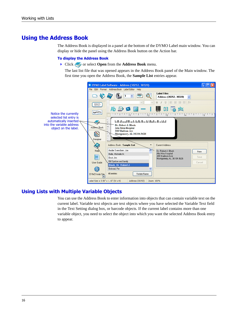# <span id="page-19-0"></span>**Using the Address Book**

The Address Book is displayed in a panel at the bottom of the DYMO Label main window. You can display or hide the panel using the Address Book button on the Action bar.

#### **To display the Address Book**

**Click or select Open** from the **Address Book** menu.

The last list file that was opened appears in the Address Book panel of the Main window. The first time you open the Address Book, the **Sample List** entries appear.



### **Using Lists with Multiple Variable Objects**

<span id="page-19-1"></span>You can use the Address Book to enter information into objects that can contain variable text on the current label. Variable text objects are text objects where you have selected the Variable Text field in the Text Setting dialog box, or barcode objects. If the current label contains more than one variable object, you need to select the object into which you want the selected Address Book entry to appear.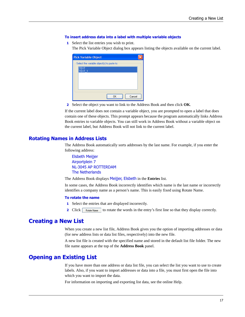#### **To insert address data into a label with multiple variable objects**

**1** Select the list entries you wish to print.

The Pick Variable Object dialog box appears listing the objects available on the current label.

| <b>Pick Variable Object</b>                |        |
|--------------------------------------------|--------|
| Select the variable object[s] to paste to: |        |
| <b>TEXT</b><br><b>TEXT</b><br>-1           |        |
|                                            |        |
|                                            |        |
|                                            |        |
| ΩK                                         | Cancel |

**2** Select the object you want to link to the Address Book and then click **OK**.

If the current label does not contain a variable object, you are prompted to open a label that does contain one of these objects. This prompt appears because the program automatically links Address Book entries to variable objects. You can still work in Address Book without a variable object on the current label, but Address Book will not link to the current label.

#### <span id="page-20-4"></span>**Rotating Names in Address Lists**

The Address Book automatically sorts addresses by the last name. For example, if you enter the following address:

Elsbeth Meijjer Airportplein 7 NL-3045 AP ROTTERDAM The Netherlands

The Address Book displays Meijjer, Elsbeth in the **Entries** list.

In some cases, the Address Book incorrectly identifies which name is the last name or incorrectly identifies a company name as a person's name. This is easily fixed using Rotate Name.

#### **To rotate the name**

- **1** Select the entries that are displayed incorrectly.
- **2** Click  $\lceil$  Flotate Name to rotate the words in the entry's first line so that they display correctly.

# <span id="page-20-2"></span><span id="page-20-0"></span>**Creating a New List**

When you create a new list file, Address Book gives you the option of importing addresses or data (for new address lists or data list files, respectively) into the new file.

A new list file is created with the specified name and stored in the default list file folder. The new file name appears at the top of the **Address Book** panel.

## <span id="page-20-1"></span>**Opening an Existing List**

<span id="page-20-3"></span>If you have more than one address or data list file, you can select the list you want to use to create labels. Also, if you want to import addresses or data into a file, you must first open the file into which you want to import the data.

For information on importing and exporting list data, see the online Help.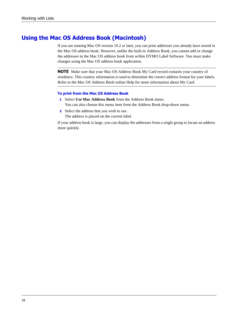# <span id="page-21-0"></span>**Using the Mac OS Address Book (Macintosh)**

<span id="page-21-1"></span>If you are running Mac OS version 10.2 or later, you can print addresses you already have stored in the Mac OS address book. However, unlike the built-in Address Book, you cannot add or change the addresses in the Mac OS address book from within DYMO Label Software. You must make changes using the Mac OS address book application.

**NOTE** Make sure that your Mac OS Address Book My Card record contains your country of residence. This country information is used to determine the correct address format for your labels. Refer to the Mac OS Address Book online Help for more information about My Card.

#### **To print from the Mac OS Address Book**

- **1** Select **Use Mac Address Book** from the Address Book menu. You can also choose this menu item from the Address Book drop-down menu.
- **2** Select the address that you wish to use. The address is placed on the current label.

If your address book is large, you can display the addresses from a single group to locate an address more quickly.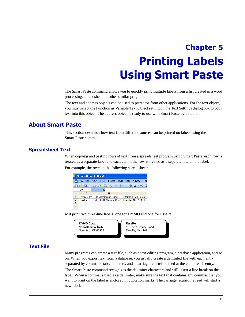# <span id="page-22-3"></span><span id="page-22-0"></span>**Chapter 5 Printing Labels Using Smart Paste**

<span id="page-22-5"></span><span id="page-22-1"></span>The Smart Paste command allows you to quickly print multiple labels from a list created in a word processing, spreadsheet, or other similar program.

The text and address objects can be used to print text from other applications. For the text object, you must select the Function as Variable Text Object setting on the Text Settings dialog box to copy text into this object. The address object is ready to use with Smart Paste by default.

# <span id="page-22-2"></span>**About Smart Paste**

This section describes how text from different sources can be printed on labels using the Smart Paste command.

### <span id="page-22-6"></span>**Spreadsheet Text**

When copying and pasting rows of text from a spreadsheet program using Smart Paste, each row is treated as a separate label and each cell in the row is treated as a separate line on the label.

For example, the rows in the following spreadsheet:



will print two three-line labels: one for DYMO and one for Esselte.



### <span id="page-22-4"></span>**Text File**

Many programs can create a text file, such as a text editing program, a database application, and so on. When you export text from a database, you usually create a delimited file with each entry separated by comma or tab characters, and a carriage return/line feed at the end of each entry.

The Smart Paste command recognizes the delimiter characters and will insert a line break on the label. When a comma is used as a delimiter, make sure the text that contains any commas that you want to print on the label is enclosed in quotation marks. The carriage return/line feed will start a new label.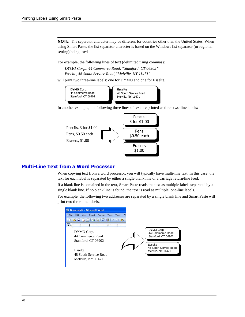**NOTE** The separator character may be different for countries other than the United States. When using Smart Paste, the list separator character is based on the Windows list separator (or regional setting) being used.

For example, the following lines of text (delimited using commas):

*DYMO Corp., 44 Commerce Road, "Stamford, CT 06902" Esselte, 48 South Service Road,"Melville, NY 11471"*

will print two three-line labels: one for DYMO and one for Esselte.



In another example, the following three lines of text are printed as three two-line labels:



### <span id="page-23-0"></span>**Multi-Line Text from a Word Processor**

When copying text from a word processor, you will typically have multi-line text. In this case, the text for each label is separated by either a single blank line or a carriage return/line feed.

If a blank line is contained in the text, Smart Paste reads the text as multiple labels separated by a single blank line. If no blank line is found, the text is read as multiple, one-line labels.

For example, the following two addresses are separated by a single blank line and Smart Paste will print two three-line labels.

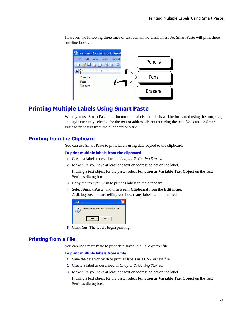However, the following three lines of text contain no blank lines. So, Smart Paste will print three one-line labels.



# <span id="page-24-1"></span><span id="page-24-0"></span>**Printing Multiple Labels Using Smart Paste**

When you use Smart Paste to print multiple labels, the labels will be formatted using the font, size, and style currently selected for the text or address object receiving the text. You can use Smart Paste to print text from the clipboard or a file.

### **Printing from the Clipboard**

You can use Smart Paste to print labels using data copied to the clipboard.

#### **To print multiple labels from the clipboard**

- **1** Create a label as described in *[Chapter 2, Getting Started](#page-6-3)*.
- **2** Make sure you have at least one text or address object on the label.

If using a text object for the paste, select **Function as Variable Text Object** on the Text Settings dialog box.

- **3** Copy the text you wish to print as labels to the clipboard.
- **4** Select **Smart Paste**, and then **From Clipboard** from the **Edit** menu. A dialog box appears telling you how many labels will be printed.

| Confirm |                                            |
|---------|--------------------------------------------|
|         | The clipboard contains 3 record(s). Print? |
|         | No<br>'nς                                  |

**5** Click **Yes**. The labels begin printing.

#### **Printing from a File**

You can use Smart Paste to print data saved in a CSV or text file.

#### **To print multiple labels from a file**

- **1** Save the data you wish to print as labels as a CSV or text file.
- **2** Create a label as described in *[Chapter 2, Getting Started](#page-6-3)*.
- **3** Make sure you have at least one text or address object on the label.

If using a text object for the paste, select **Function as Variable Text Object** on the Text Settings dialog box.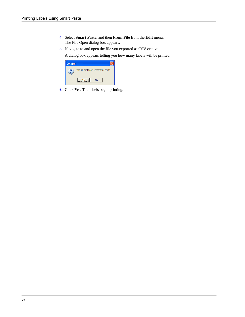- **4** Select **Smart Paste**, and then **From File** from the **Edit** menu. The File Open dialog box appears.
- **5** Navigate to and open the file you exported as CSV or text.

A dialog box appears telling you how many labels will be printed.

| Confirm |                                        |
|---------|----------------------------------------|
|         | The file contains 44 record(s). Print? |
|         | No                                     |

**6** Click **Yes**. The labels begin printing.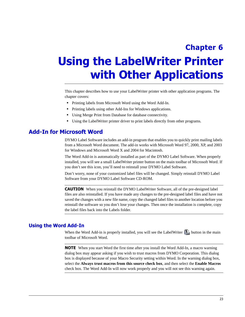# <span id="page-26-1"></span><span id="page-26-0"></span>**Chapter 6 Using the LabelWriter Printer with Other Applications**

<span id="page-26-5"></span>This chapter describes how to use your LabelWriter printer with other application programs. The chapter covers:

- **•** Printing labels from Microsoft Word using the Word Add-In.
- **•** Printing labels using other Add-Ins for Windows applications.
- **•** Using Merge Print from Database for database connectivity.
- **•** Using the LabelWriter printer driver to print labels directly from other programs.

# <span id="page-26-2"></span>**Add-In for Microsoft Word**

<span id="page-26-3"></span>DYMO Label Software includes an add-in program that enables you to quickly print mailing labels from a Microsoft Word document. The add-in works with Microsoft Word 97, 2000, XP, and 2003 for Windows and Microsoft Word X and 2004 for Macintosh.

<span id="page-26-4"></span>The Word Add-in is automatically installed as part of the DYMO Label Software. When properly installed, you will see a small LabelWriter printer button on the main toolbar of Microsoft Word. If you don't see this icon, you'll need to reinstall your DYMO Label Software.

Don't worry, none of your customized label files will be changed. Simply reinstall DYMO Label Software from your DYMO Label Software CD-ROM.

**CAUTION** When you reinstall the DYMO LabelWriter Software, all of the pre-designed label files are also reinstalled. If you have made any changes to the pre-designed label files and have not saved the changes with a new file name, copy the changed label files to another location before you reinstall the software so you don't lose your changes. Then once the installation is complete, copy the label files back into the Labels folder.

#### **Using the Word Add-In**

When the Word Add-in is properly installed, you will see the LabelWriter  $\Box$  button in the main toolbar of Microsoft Word.

**NOTE** When you start Word the first time after you install the Word Add-In, a macro warning dialog box may appear asking if you wish to trust macros from DYMO Corporation. This dialog box is displayed because of your Macro Security setting within Word. In the warning dialog box, select the **Always trust macros from this source check box**, and then select the **Enable Macros** check box. The Word Add-In will now work properly and you will not see this warning again.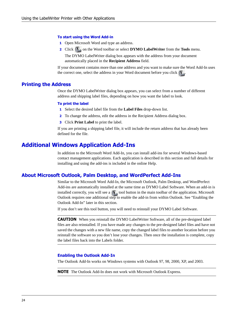#### **To start using the Word Add-in**

- **1** Open Microsoft Word and type an address.
- **2** Click **I** on the Word toolbar or select **DYMO LabelWriter** from the **Tools** menu.

The DYMO LabelWriter dialog box appears with the address from your document automatically placed in the **Recipient Address** field.

If your document contains more than one address and you want to make sure the Word Add-In uses the correct one, select the address in your Word document before you click

#### **Printing the Address**

Once the DYMO LabelWriter dialog box appears, you can select from a number of different address and shipping label files, depending on how you want the label to look.

#### **To print the label**

- **1** Select the desired label file from the **Label Files** drop-down list.
- **2** To change the address, edit the address in the Recipient Address dialog box.
- **3** Click **Print Label** to print the label.

If you are printing a shipping label file, it will include the return address that has already been defined for the file.

# <span id="page-27-0"></span>**Additional Windows Application Add-Ins**

In addition to the Microsoft Word Add-In, you can install add-ins for several Windows-based contact management applications. Each application is described in this section and full details for installing and using the add-ins is included in the online Help.

#### <span id="page-27-2"></span>**About Microsoft Outlook, Palm Desktop, and WordPerfect Add-Ins**

<span id="page-27-6"></span><span id="page-27-5"></span><span id="page-27-4"></span>Similar to the Microsoft Word Add-In, the Microsoft Outlook, Palm Desktop, and WordPerfect Add-ins are automatically installed at the same time as DYMO Label Software. When an add-in is installed correctly, you will see a  $\left(\prod_{i=1}^{n} \text{tool button in the main toolbox of the application. Microsoft}\right)$ Outlook requires one additional step to enable the add-in from within Outlook. See ["Enabling the](#page-27-1)  [Outlook Add-In"](#page-27-1) later in this section.

If you don't see this tool button, you will need to reinstall your DYMO Label Software.

**CAUTION** When you reinstall the DYMO LabelWriter Software, all of the pre-designed label files are also reinstalled. If you have made any changes to the pre-designed label files and have not saved the changes with a new file name, copy the changed label files to another location before you reinstall the software so you don't lose your changes. Then once the installation is complete, copy the label files back into the Labels folder.

#### <span id="page-27-1"></span>**Enabling the Outlook Add-In**

The Outlook Add-In works on Windows systems with Outlook 97, 98, 2000, XP, and 2003.

<span id="page-27-3"></span>**NOTE** The Outlook Add-In does not work with Microsoft Outlook Express.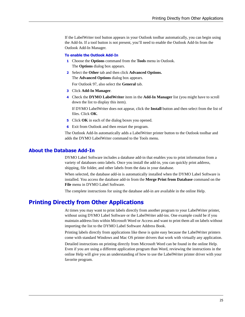If the LabelWriter tool button appears in your Outlook toolbar automatically, you can begin using the Add-In. If a tool button is not present, you'll need to enable the Outlook Add-In from the Outlook Add-In Manager.

#### **To enable the Outlook Add-In**

- **1** Choose the **Options** command from the **Tools** menu in Outlook. The **Options** dialog box appears.
- **2** Select the **Other** tab and then click **Advanced Options.** The **Advanced Options** dialog box appears.

For Outlook 97, also select the **General** tab.

- **3** Click **Add-In Manager**.
- **4** Check the **DYMO LabelWriter** item in the **Add-In Manager** list (you might have to scroll down the list to display this item).

If DYMO LabelWriter does not appear, click the **Install** button and then select from the list of files. Click **OK**.

- **5** Click **OK** in each of the dialog boxes you opened.
- **6** Exit from Outlook and then restart the program.

The Outlook Add-In automatically adds a LabelWriter printer button to the Outlook toolbar and adds the DYMO LabelWriter command to the Tools menu.

### <span id="page-28-1"></span>**About the Database Add-In**

<span id="page-28-2"></span>DYMO Label Software includes a database add-in that enables you to print information from a variety of databases onto labels. Once you install the add-in, you can quickly print address, shipping, file folder, and other labels from the data in your database.

<span id="page-28-3"></span>When selected, the database add-in is automatically installed when the DYMO Label Software is installed. You access the database add-in from the **Merge Print from Database** command on the **File** menu in DYMO Label Software.

The complete instructions for using the database add-in are available in the online Help.

# <span id="page-28-0"></span>**Printing Directly from Other Applications**

<span id="page-28-5"></span><span id="page-28-4"></span>At times you may want to print labels directly from another program to your LabelWriter printer, without using DYMO Label Software or the LabelWriter add-ins. One example could be if you maintain address lists within Microsoft Word or Access and want to print them all on labels without importing the list to the DYMO Label Software Address Book.

Printing labels directly from applications like these is quite easy because the LabelWriter printers come with standard Windows and Mac OS printer drivers that work with virtually any application.

Detailed instructions on printing directly from Microsoft Word can be found in the online Help. Even if you are using a different application program than Word, reviewing the instructions in the online Help will give you an understanding of how to use the LabelWriter printer driver with your favorite program.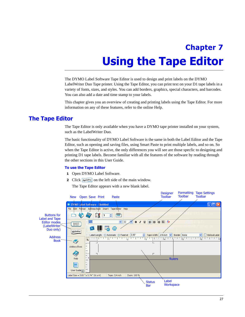# <span id="page-30-3"></span><span id="page-30-0"></span>**Chapter 7 Using the Tape Editor**

<span id="page-30-1"></span>The DYMO Label Software Tape Editor is used to design and print labels on the DYMO LabelWriter Duo Tape printer. Using the Tape Editor, you can print text on your D1 tape labels in a variety of fonts, sizes, and styles. You can add borders, graphics, special characters, and barcodes. You can also add a date and time stamp to your labels.

This chapter gives you an overview of creating and printing labels using the Tape Editor. For more information on any of these features, refer to the online Help.

# <span id="page-30-2"></span>**The Tape Editor**

The Tape Editor is only available when you have a DYMO tape printer installed on your system, such as the LabelWriter Duo.

The basic functionality of DYMO Label Software is the same in both the Label Editor and the Tape Editor, such as opening and saving files, using Smart Paste to print multiple labels, and so on. So when the Tape Editor is active, the only differences you will see are those specfic to designing and printing D1 tape labels. Become familiar with all the features of the software by reading through the other sections in this User Guide.

#### **To use the Tape Editor**

- **1** Open DYMO Label Software.
- **2** Click  $\sqrt{A}$  AgcDable on the left side of the main window.

The Tape Editor appears with a new blank label.

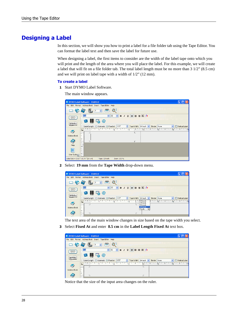# <span id="page-31-0"></span>**Designing a Label**

In this section, we will show you how to print a label for a file folder tab using the Tape Editor. You can format the label text and then save the label for future use.

<span id="page-31-1"></span>When designing a label, the first items to consider are the width of the label tape onto which you will print and the length of the area where you will place the label. For this example, we will create a label that will fit on a file folder tab. The total label length must be no more than 3 1/2" (8.5 cm) and we will print on label tape with a width of 1/2" (12 mm).

#### **To create a label**

**1** Start DYMO Label Software.

The main window appears.

| G                                                      | <b>DYMO Label Software - Untitled</b>                                                                                                                   |
|--------------------------------------------------------|---------------------------------------------------------------------------------------------------------------------------------------------------------|
| File                                                   | Edit Format Address Book Insert Tape Editor Help                                                                                                        |
|                                                        | $\hat{\mathbf{v}}$                                                                                                                                      |
| Eveyan Tyningh<br>Kaadiya Elman Ing<br>Angulas anigala | $\Vert \mathbf{v} \Vert$ is the set of $\Vert \mathbf{v} \Vert$<br>$\frac{1}{2}$ Arial<br>32<br>$B$ $I$ $\underline{U}$<br>$\checkmark$<br>$\checkmark$ |
| ABCDabco                                               | $\prod_{10012}$<br>@                                                                                                                                    |
|                                                        | 3.00"<br>Vertical Label<br>Label Length: O Automatic O Fixed at:<br>$\hat{z}$<br>Tape Width: 3/4 inch v<br>Border: None<br>$\checkmark$                 |
|                                                        | $\frac{1}{6}$<br>$\overline{\mathsf{s}}$<br>$\cdot$<br>$\overline{1}$<br>$\overline{2}$<br>$\vert$ <sub>3</sub><br>$\overline{4}$<br>$\vert$ 1<br>ш     |
| Address Book                                           |                                                                                                                                                         |
|                                                        | г                                                                                                                                                       |
| Help                                                   |                                                                                                                                                         |
| User Guide                                             |                                                                                                                                                         |
| Label Size = $3.83$ " $\times$ 0.74 " (W $\times$ H)   | Tape: 3/4 inch<br>Zoom: 100 %                                                                                                                           |

**2** Select **19 mm** from the **Tape Width** drop-down menu.

|                                                                 | DYMO Label Software - Untitled                                                                                                    |                                                |
|-----------------------------------------------------------------|-----------------------------------------------------------------------------------------------------------------------------------|------------------------------------------------|
|                                                                 | File Edit Format Address Book Insert Tape Editor Help                                                                             |                                                |
|                                                                 | $\stackrel{\blacktriangle}{\blacktriangledown}$                                                                                   |                                                |
| Dungan Typing)<br>Kaadiya Duna Ing<br>seguin seguin<br>ABCDabco | $\ddotmark$<br>  Arial<br> 32 <br>ee ee b<br>$\vee$ <b>B</b> $I$ <b>U</b><br>W<br>@<br>CS.                                        |                                                |
|                                                                 | 3.09"<br>Label Length: ○ Automatic ⊙ Fixed at:<br>Tape Width:<br>$3/4$ inch $\vee$<br>÷                                           | Vertical Label<br>Border: None<br>$\checkmark$ |
| Address Book                                                    | 1/4 inch<br>$\vert$ <sub>3</sub><br>$\frac{1}{2}$<br>$\pm$ 14 $\pm$<br>L<br>3/8 inch<br>1/2 inch<br>3/4 inch<br>1 inch<br>Νç<br>÷ | TH THE 11<br>アンド はいしょうしん<br>$\overline{6}$     |
|                                                                 |                                                                                                                                   |                                                |

The text area of the main window changes in size based on the tape width you select.

**3** Select **Fixed At** and enter **8.5 cm** in the **Label Length Fixed At** text box.

| DYMO Label Software - Untitled                        |              |        |                                       |           |       |                                                             |         |              |  |                                        |  |
|-------------------------------------------------------|--------------|--------|---------------------------------------|-----------|-------|-------------------------------------------------------------|---------|--------------|--|----------------------------------------|--|
| File Edit Format Address Book Insert Tape Editor Help |              |        |                                       |           |       |                                                             |         |              |  |                                        |  |
|                                                       | <b>Rep</b>   |        | $\div$<br>Ч.                          | Q         |       |                                                             |         |              |  |                                        |  |
| Dungan Tipoloji<br>Kaselin Binas Ing                  | <b>Arial</b> |        |                                       | $\vee$ 32 |       | $\vee$ B $I$ U $\equiv$ $\equiv$ $\equiv$ $\parallel$ $f$ F |         |              |  |                                        |  |
| seguin seguin                                         |              |        | 腰                                     |           |       |                                                             |         |              |  |                                        |  |
| ABCDabco                                              |              | W<br>G | @                                     |           |       |                                                             |         |              |  |                                        |  |
|                                                       |              |        | Label Length: O Automatic O Fixed at: |           | 3.50" | $\textcircled{1}$ Tape Width: 3/4 inch $\textcircled{1}$    |         | Border: None |  | Vertical Label                         |  |
|                                                       | ш            |        | 부모 14 부모 1 부모 보니 2부모 보니 부모 보기 3부모     |           |       |                                                             | $4$ $-$ |              |  | والنائبا المالية والنابا النابي والنبا |  |
|                                                       |              |        |                                       |           |       |                                                             |         |              |  |                                        |  |
| Address Book                                          |              |        |                                       |           |       |                                                             |         |              |  |                                        |  |
|                                                       | $\sim$       |        |                                       |           |       |                                                             |         |              |  |                                        |  |
|                                                       |              |        |                                       |           |       |                                                             |         |              |  |                                        |  |

Notice that the size of the input area changes on the ruler.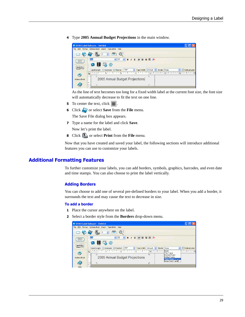**4** Type **2005 Annual Budget Projections** in the main window.



As the line of text becomes too long for a fixed width label at the current font size, the font size will automatically decrease to fit the text on one line.

- **5** To center the text, click  $\equiv$
- **6** Click **o** or select **Save** from the **File** menu.

The Save File dialog box appears.

**7** Type a name for the label and click **Save**.

Now let's print the label.

**8** Click **o** or select **Print** from the **File** menu.

Now that you have created and saved your label, the following sections will introduce additional features you can use to customize your labels.

### **Additional Formatting Features**

To further customize your labels, you can add borders, symbols, graphics, barcodes, and even date and time stamps. You can also choose to print the label vertically.

#### <span id="page-32-0"></span>**Adding Borders**

You can choose to add one of several pre-defined borders to your label. When you add a border, it surrounds the text and may cause the text to decrease in size.

#### **To add a border**

- **1** Place the cursor anywhere on the label.
- **2** Select a border style from the **Borders** drop-down menu.

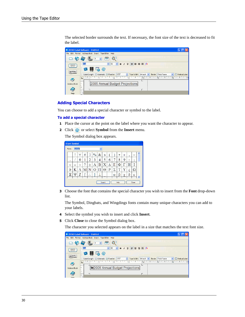The selected border surrounds the text. If necessary, the font size of the text is decreased to fit the label.



#### <span id="page-33-0"></span>**Adding Special Characters**

You can choose to add a special character or symbol to the label.

#### **To add a special character**

- **1** Place the cursor at the point on the label where you want the character to appear.
- **2** Click  $\bullet$  or select **Symbol** from the **Insert** menu.

The Symbol dialog box appears.

| <b>Insert Symbol</b> |        |   |   |          |               |   |                |   |          |      |                    |        |        |  |
|----------------------|--------|---|---|----------|---------------|---|----------------|---|----------|------|--------------------|--------|--------|--|
| Font:                | Symbol |   |   |          |               | v |                |   |          |      |                    |        |        |  |
|                      | ļ      | ∀ | # | Э        | $\frac{0}{0}$ | & | Э              |   |          | *    | $\hspace{0.1mm} +$ | ٠      | _      |  |
| ٠                    |        | 0 | 1 | 2        | 3             | 4 | 5              | 6 | 7        | 8    | 9                  | ٠<br>٠ | ٠<br>٠ |  |
| <                    | =      | > | ? | ≅        | Α             | в | X              | Δ | E        | Φ    | Ι                  | Н      | I      |  |
| 9                    | K      |   | M | N        | Ő             | П | $_{\rm \odot}$ | P | Σ        | Τ    | Y                  | ς      | Ω      |  |
| Ξ                    | Ψ      | Z |   | ٠<br>. . |               |   |                |   | $\alpha$ | β    | χ                  | δ      | ε      |  |
|                      |        |   |   |          |               |   | Insert         |   |          | Help |                    |        | Close  |  |

**3** Choose the font that contains the special character you wish to insert from the **Font** drop-down list.

The Symbol, Dingbats, and Wingdings fonts contain many unique characters you can add to your labels.

- **4** Select the symbol you wish to insert and click **Insert**.
- **5** Click **Close** to close the Symbol dialog box.

The character you selected appears on the label in a size that matches the text font size.

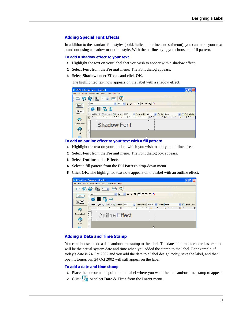#### <span id="page-34-1"></span>**Adding Special Font Effects**

In addition to the standard font styles (bold, italic, underline, and strikeout), you can make your text stand out using a shadow or outline style. With the outline style, you choose the fill pattern.

#### <span id="page-34-3"></span>**To add a shadow effect to your text**

- **1** Highlight the text on your label that you wish to appear with a shadow effect.
- **2** Select **Font** from the **Format** menu. The Font dialog appears.
- **3** Select **Shadow** under **Effects** and click **OK**.

The highlighted text now appears on the label with a shadow effect.



#### **To add an outline effect to your text with a fill pattern**

- <span id="page-34-2"></span>**1** Highlight the text on your label to which you wish to apply an outline effect.
- **2** Select **Font** from the **Format** menu. The Font dialog box appears.
- **3** Select **Outline** under **Effects**.
- **4** Select a fill pattern from the **Fill Pattern** drop-down menu.
- **5** Click **OK**. The highlighted text now appears on the label with an outline effect.



#### <span id="page-34-0"></span>**Adding a Date and Time Stamp**

You can choose to add a date and/or time stamp to the label. The date and time is entered as text and will be the actual system date and time when you added the stamp to the label. For example, if today's date is 24 Oct 2002 and you add the date to a label design today, save the label, and then open it tomorrow, 24 Oct 2002 will still appear on the label.

#### **To add a date and time stamp**

- **1** Place the cursor at the point on the label where you want the date and/or time stamp to appear.
- **2** Click **o** or select **Date & Time** from the **Insert** menu.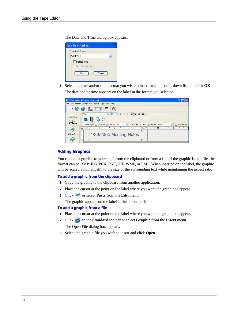The Date and Time dialog box appears.

| <b>Date-Time Settings</b> |
|---------------------------|
| Date-Time Format          |
| 1/20/2005                 |
| $\Box$ Include Time       |
| Use 24-Hour Time          |
| Cancel<br>OΚ              |

**3** Select the date and/or time format you wish to insert from the drop-down list and click **OK**. The date and/or time appears on the label in the format you selected.

|                                     | <b>DYMO Label Software - Untitled</b>                                                                                |
|-------------------------------------|----------------------------------------------------------------------------------------------------------------------|
|                                     | File Edit Format Address Book Insert Tape Editor Help                                                                |
|                                     | $\overset{\mathtt{A}}{\mathtt{v}}$                                                                                   |
| Dungan Tysingh<br>Kaadiya Dinas Lay | $\vee$ 32<br>: Arial<br>$\vee$                                                                                       |
| seguin seguit                       | 嗶                                                                                                                    |
| ABCDabco                            | @                                                                                                                    |
|                                     | Label Length: ○ Automatic ⊙ Fixed at: 3.50"<br>Tape Width: 3/4 inch v<br>Vertical Label<br>$\hat{z}$<br>Border: None |
|                                     | $\overline{4}$<br>$\mathbb{R}$<br>ls.<br>$\vert$ <sub>2</sub><br>$14$ $12$<br>L                                      |
| - 2                                 |                                                                                                                      |
| Address Book                        | 1/20/2005 Meeting Notes                                                                                              |
|                                     |                                                                                                                      |
|                                     |                                                                                                                      |
| $1.1 - 1.1$                         |                                                                                                                      |

#### <span id="page-35-0"></span>**Adding Graphics**

<span id="page-35-8"></span><span id="page-35-7"></span><span id="page-35-6"></span><span id="page-35-5"></span><span id="page-35-4"></span><span id="page-35-2"></span><span id="page-35-1"></span>You can add a graphic to your label from the clipboard or from a file. If the graphic is in a file, the format can be BMP, JPG, PCX, PNG, TIF, WMF, or EMF. When inserted on the label, the graphic will be scaled automatically to the size of the surrounding text while maintaining the aspect ratio.

#### **To add a graphic from the clipboard**

- <span id="page-35-3"></span>**1** Copy the graphic to the clipboard from another application.
- **2** Place the cursor at the point on the label where you want the graphic to appear.
- **3** Click **or** select **Paste** from the **Edit** menu.

The graphic appears on the label at the cursor position.

#### **To add a graphic from a file**

- **1** Place the cursor at the point on the label where you want the graphic to appear.
- **2** Click **on** the **Standard** toolbar or select **Graphic** from the **Insert** menu. The Open File dialog box appears.
- **3** Select the graphic file you wish to insert and click **Open**.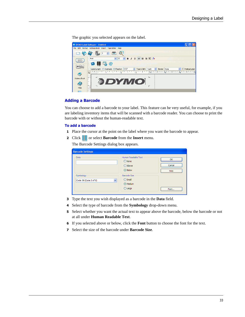The graphic you selected appears on the label.

|                                                       | <b>DYMO Label Software - Untitled</b>                                                                                                    |
|-------------------------------------------------------|------------------------------------------------------------------------------------------------------------------------------------------|
|                                                       | File Edit Format Address Book Insert Tape Editor Help                                                                                    |
|                                                       | $\hat{\mathbf{v}}$                                                                                                                       |
| <b>Curry on Trystock</b><br><b>Knockly</b> Elimon Lay | <b>B</b> $I$ <b>U</b> $\equiv$ $\equiv$ $\equiv$ $\parallel$ $f$ $f$<br>$\vee$ 32<br>$\vee$<br>: Arial                                   |
| seguin seguit<br>ABCDabco                             | 豐<br>W<br>@                                                                                                                              |
|                                                       | Label Length: O Automatic O Fixed at: 3.50"<br>Vertical Label<br>← Tape Width:<br>Border: None<br>1 inch<br>$\checkmark$<br>$\checkmark$ |
|                                                       | クインエン<br>$6-1$<br>4 <sup>1</sup><br>$\overline{5}$<br>$\vert$ 1<br>$\overline{2}$<br>$\frac{1}{3}$<br>L                                  |
| Address Book                                          |                                                                                                                                          |
|                                                       | <b><i>BDYMO</i></b>                                                                                                                      |
| Help                                                  |                                                                                                                                          |
|                                                       |                                                                                                                                          |

#### <span id="page-36-0"></span>**Adding a Barcode**

You can choose to add a barcode to your label. This feature can be very useful, for example, if you are labeling inventory items that will be scanned with a barcode reader. You can choose to print the barcode with or without the human-readable text.

#### **To add a barcode**

- **1** Place the cursor at the point on the label where you want the barcode to appear.
- **2** Click **or** select **Barcode** from the **Insert** menu.

The Barcode Settings dialog box appears.

| <b>Barcode Settings</b>                           |                                                                  |                      |
|---------------------------------------------------|------------------------------------------------------------------|----------------------|
| Data                                              | Human Readable Text<br>ONone<br>O Above<br>⊙ Below               | OK<br>Cancel<br>Help |
| Symbology<br>$\ddotmark$<br>Code 39 (Code 3 of 9) | <b>Barcode Size</b><br>$\bigcirc$ Small<br>⊙ Medium<br>$O$ Large | Font                 |

- **3** Type the text you wish displayed as a barcode in the **Data** field.
- **4** Select the type of barcode from the **Symbology** drop-down menu.
- **5** Select whether you want the actual text to appear above the barcode, below the barcode or not at all under **Human Readable Text**.
- **6** If you selected above or below, click the **Font** button to choose the font for the text.
- **7** Select the size of the barcode under **Barcode Size**.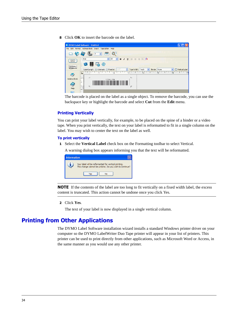**8** Click **OK** to insert the barcode on the label.



The barcode is placed on the label as a single object. To remove the barcode, you can use the backspace key or highlight the barcode and select **Cut** from the **Edit** menu.

#### <span id="page-37-2"></span>**Printing Vertically**

You can print your label vertically, for example, to be placed on the spine of a binder or a video tape. When you print vertically, the text on your label is reformatted to fit in a single column on the label. You may wish to center the text on the label as well.

#### **To print vertically**

**1** Select the **Vertical Label** check box on the Formatting toolbar to select Vertical.

A warning dialog box appears informing you that the text will be reformatted.

| <b>Information</b> |                                                                                                                 |
|--------------------|-----------------------------------------------------------------------------------------------------------------|
|                    | Your label will be reformatted for vertical printing.<br>This change cannot be undone. Do you wish to continue? |
|                    | Yec<br>Nο                                                                                                       |

**NOTE** If the contents of the label are too long to fit vertically on a fixed width label, the excess content is truncated. This action cannot be undone once you click Yes.

**2** Click **Yes**.

The text of your label is now displayed in a single vertical column.

# <span id="page-37-1"></span><span id="page-37-0"></span>**Printing from Other Applications**

The DYMO Label Software installation wizard installs a standard Windows printer driver on your computer so the DYMO LabelWriter Duo Tape printer will appear in your list of printers. This printer can be used to print directly from other applications, such as Microsoft Word or Access, in the same manner as you would use any other printer.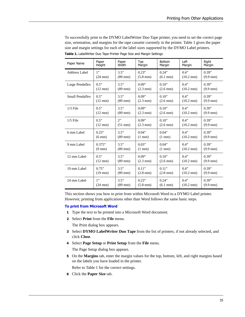<span id="page-38-0"></span>

| Paper Name                                   | Paper             | Paper                     | Top                         | <b>Bottom</b>               | Left                        | Right                       |
|----------------------------------------------|-------------------|---------------------------|-----------------------------|-----------------------------|-----------------------------|-----------------------------|
|                                              | Height            | Width                     | Margin                      | Margin                      | Margin                      | Margin                      |
| <b>Address Label</b>                         | 1"                | 3.5"                      | 0.23"                       | 0.24"                       | 0.4"                        | 0.39"                       |
|                                              | $(24 \text{ mm})$ | $(89$ mm $)$              | $(5.8 \text{ mm})$          | $(6.1 \text{ mm})$          | $(10.2 \text{ mm})$         | $(9.9 \text{ mm})$          |
| 0.5"<br>Large Pendaflex<br>$(12 \text{ mm})$ |                   | 3.5"<br>$(89$ mm $)$      | 0.09"<br>$(2.3 \text{ mm})$ | 0.10"<br>$(2.6 \text{ mm})$ | 0.4"<br>$(10.2 \text{ mm})$ | 0.39"<br>$(9.9 \text{ mm})$ |
| 0.5"<br>Small Pendaflex<br>$(12 \text{ mm})$ |                   | 3.5"<br>$(89 \text{ mm})$ | 0.09"<br>$(2.3 \text{ mm})$ | 0.10"<br>$(2.6 \text{ mm})$ | 0.4"<br>$(10.2 \text{ mm})$ | 0.39"<br>$(9.9 \text{ mm})$ |
| $1/3$ File                                   | 0.5"              | 3.5"                      | 0.09"                       | 0.10"                       | 0.4"                        | 0.39"                       |
|                                              | $(12 \text{ mm})$ | $(89$ mm $)$              | $(2.3 \text{ mm})$          | $(2.6 \text{ mm})$          | $(10.2 \text{ mm})$         | $(9.9 \text{ mm})$          |
| $1/5$ File                                   | 0.5"              | 2                         | 0.09"                       | 0.10"                       | 0.4"                        | 0.39"                       |
|                                              | $(12 \text{ mm})$ | $(51$ mm $)$              | $(2.3 \text{ mm})$          | $(2.6 \text{ mm})$          | $(10.2 \text{ mm})$         | $(9.9 \text{ mm})$          |
| 6 mm Label                                   | 0.25"             | 3.5"                      | 0.04"                       | 0.04"                       | 0.4"                        | 0.39"                       |
|                                              | $(6 \text{ mm})$  | $(89$ mm $)$              | $(1 \text{ mm})$            | $(1 \text{ mm})$            | $(10.2 \text{ mm})$         | $(9.9 \text{ mm})$          |
| 9 mm Label                                   | 0.375"            | 3.5"                      | 0.03"                       | 0.04"                       | 0.4"                        | 0.39"                       |
|                                              | $(9 \text{ mm})$  | $(89$ mm $)$              | $(1 \text{ mm})$            | $(1 \text{ mm})$            | $(10.2 \text{ mm})$         | $(9.9 \text{ mm})$          |
| 12 mm Label                                  | 0.5"              | 3.5"                      | 0.09"                       | 0.10"                       | 0.4"                        | 0.39"                       |
|                                              | $(12 \text{ mm})$ | $(89$ mm $)$              | $(2.3 \text{ mm})$          | $(2.6 \text{ mm})$          | $(10.2 \text{ mm})$         | $(9.9 \text{ mm})$          |
| 19 mm Label                                  | 0.75"             | 3.5"                      | 0.11"                       | 0.11"                       | 0.4"                        | 0.39"                       |
|                                              | $(19$ mm $)$      | $(89$ mm $)$              | $(2.8 \text{ mm})$          | $(2.8 \text{ mm})$          | $(10.2 \text{ mm})$         | $(9.9 \text{ mm})$          |
| 24 mm Label                                  | 1"                | 3.5"                      | 0.23"                       | 0.24"                       | 0.4"                        | 0.39"                       |
|                                              | $(24 \text{ mm})$ | $(89$ mm $)$              | $(5.8 \text{ mm})$          | $(6.1 \text{ mm})$          | $(10.2 \text{ mm})$         | $(9.9 \text{ mm})$          |

To successfully print to the DYMO LabelWriter Duo Tape printer, you need to set the correct page size, orientation, and margins for the tape cassette currently in the printer. [Table 1](#page-38-0) gives the paper size and margin settings for each of the label sizes supported by the DYMO Label printers. **Table 1.** LabelWriter Duo Tape Printer Page Size and Margin Settings

This section shows you how to print from within Microsoft Word to a DYMO Label printer. However, printing from applications other than Word follows the same basic steps.

#### **To print from Microsoft Word**

- **1** Type the text to be printed into a Microsoft Word document.
- **2** Select **Print** from the **File** menu.

The Print dialog box appears.

- **3** Select **DYMO LabelWriter Duo Tape** from the list of printers, if not already selected, and click **Close**.
- **4** Select **Page Setup** or **Print Setup** from the **File** menu.

The Page Setup dialog box appears.

**5** On the **Margins** tab, enter the margin values for the top, bottom, left, and right margins based on the labels you have loaded in the printer.

Refer to [Table 1](#page-38-0) for the correct settings.

**6** Click the **Paper Size** tab.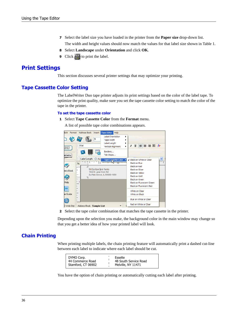- **7** Select the label size you have loaded in the printer from the **Paper size** drop-down list. The width and height values should now match the values for that label size shown in [Table 1](#page-38-0).
- **8** Select **Landscape** under **Orientation** and click **OK**.
- **9** Click to print the label.

# <span id="page-39-2"></span><span id="page-39-0"></span>**Print Settings**

<span id="page-39-3"></span>This section discusses several printer settings that may optimize your printing.

## **Tape Cassette Color Setting**

The LabelWriter Duo tape printer adjusts its print settings based on the color of the label tape. To optimize the print quality, make sure you set the tape cassette color setting to match the color of the tape in the printer.

#### **To set the tape cassette color**

**1** Select **Tape Cassette Color** from the **Format** menu.

A list of possible tape color combinations appears.



**2** Select the tape color combination that matches the tape cassette in the printer.

<span id="page-39-1"></span>Depending upon the selection you make, the background color in the main window may change so that you get a better idea of how your printed label will look.

## **Chain Printing**

When printing multiple labels, the chain printing feature will automatically print a dashed cut-line between each label to indicate where each label should be cut.

| DYMO Corp.<br>44 Commerce Road | Esselte<br>48 South Service Road |  |
|--------------------------------|----------------------------------|--|
| Stamford, CT 06902             | Melville, NY 11471               |  |

You have the option of chain printing or automatically cutting each label after printing.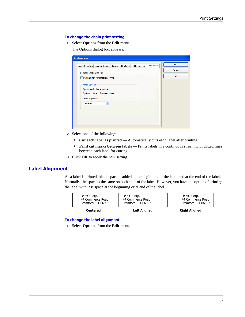#### **To change the chain print setting**

**1** Select **Options** from the **Edit** menu.

The Options dialog box appears.

| Tape Editor<br>User Information   General Settings   Functional Settings   Folder Settings  <br>Open Last Saved File | <b>OK</b><br>Cancel |
|----------------------------------------------------------------------------------------------------------------------|---------------------|
| Paste Button Automatically Prints                                                                                    | Help                |
| Printer Options                                                                                                      |                     |
| ⊙ Cut each label as printed<br>○ Print cut marks between labels                                                      |                     |
| Label Alignment:                                                                                                     |                     |
| v<br>Centered                                                                                                        |                     |
|                                                                                                                      |                     |
|                                                                                                                      |                     |

- **2** Select one of the following:
	- **• Cut each label as printed** Automatically cuts each label after printing.
	- **• Print cut marks between labels**  Prints labels in a continuous stream with dotted lines between each label for cutting.
- <span id="page-40-0"></span>**3** Click **OK** to apply the new setting.

# **Label Alignment**

As a label is printed, blank space is added at the beginning of the label and at the end of the label. Normally, the space is the same on both ends of the label. However, you have the option of printing the label with less space at the beginning or at end of the label.



#### **To change the label alignment**

**1** Select **Options** from the **Edit** menu.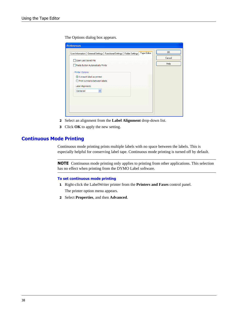The Options dialog box appears.

| User Information   General Settings   Functional Settings   Folder Settings |  | Tape Editor | OK.<br>Cancel |
|-----------------------------------------------------------------------------|--|-------------|---------------|
| Open Last Saved File<br>Paste Button Automatically Prints                   |  |             | Help          |
| Printer Options                                                             |  |             |               |
| ⊙ Cut each label as printed<br>○ Print cut marks between labels             |  |             |               |
| Label Alignment:<br>v<br>Centered                                           |  |             |               |
|                                                                             |  |             |               |
|                                                                             |  |             |               |

- **2** Select an alignment from the **Label Alignment** drop-down list.
- <span id="page-41-0"></span>**3** Click **OK** to apply the new setting.

### **Continuous Mode Printing**

Continuous mode printing prints multiple labels with no space between the labels. This is especially helpful for conserving label tape. Continuous mode printing is turned off by default.

**NOTE** Continuous mode printing only applies to printing from other applications. This selection has no effect when printing from the DYMO Label software.

#### **To set continuous mode printing**

- **1** Right-click the LabelWriter printer from the **Printers and Faxes** control panel. The printer option menu appears.
- **2** Select **Properties**, and then **Advanced**.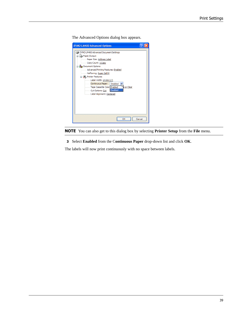The Advanced Options dialog box appears.

| <b>DYMO LM400 Advanced Options</b>                                                                                                                                                                                                                                                                                                                                                                                                                      |
|---------------------------------------------------------------------------------------------------------------------------------------------------------------------------------------------------------------------------------------------------------------------------------------------------------------------------------------------------------------------------------------------------------------------------------------------------------|
| DYMO LM400 Advanced Document Settings<br>8 Paper/Output<br>Paper Size: Address Label<br>Copy Count: 1 Copy<br><b>E</b> <i>i</i> les Document Options<br><b>Manufally</b> Advanced Printing Features: Enabled<br>Halftoning: Super Cell M<br><b>Elle Stra Printer Features</b><br>Label Width: 24 mm (1")<br>Continuous Paper: Disabled<br>e or Clear<br>Tape Cassette Color Enabled<br><b>Disabled</b><br>Cut Options: Cut<br>Label Alignment: Centered |
| Cancel<br>OK                                                                                                                                                                                                                                                                                                                                                                                                                                            |



**3** Select **Enabled** from the C**ontinuous Paper** drop-down list and click **OK**.

The labels will now print continuously with no space between labels.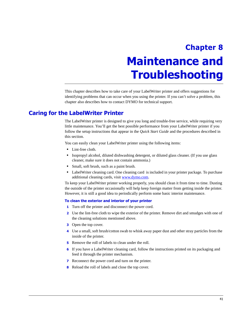# <span id="page-44-0"></span>**Chapter 8 Maintenance and Troubleshooting**

<span id="page-44-1"></span>This chapter describes how to take care of your LabelWriter printer and offers suggestions for identifying problems that can occur when you using the printer. If you can't solve a problem, this chapter also describes how to contact DYMO for technical support.

# <span id="page-44-2"></span>**Caring for the LabelWriter Printer**

<span id="page-44-3"></span>The LabelWriter printer is designed to give you long and trouble-free service, while requiring very little maintenance. You'll get the best possible performance from your LabelWriter printer if you follow the setup instructions that appear in the *Quick Start Guide* and the procedures described in this section.

You can easily clean your LabelWriter printer using the following items:

- **•** Lint-free cloth.
- Isopropyl alcohol, diluted dishwashing detergent, or diluted glass cleaner. (If you use glass cleaner, make sure it does not contain ammonia.)
- **•** Small, soft brush, such as a paint brush.
- **•** LabelWriter cleaning card. One cleaning card is included in your printer package. To purchase additional cleaning cards, visit [www.dymo.com.](http://www.dymo.com)

To keep your LabelWriter printer working properly, you should clean it from time to time. Dusting the outside of the printer occasionally will help keep foreign matter from getting inside the printer. However, it is still a good idea to periodically perform some basic interior maintenance.

#### **To clean the exterior and interior of your printer**

- **1** Turn off the printer and disconnect the power cord.
- **2** Use the lint-free cloth to wipe the exterior of the printer. Remove dirt and smudges with one of the cleaning solutions mentioned above.
- **3** Open the top cover.
- **4** Use a small, soft brush/cotton swab to whisk away paper dust and other stray particles from the inside of the printer.
- **5** Remove the roll of labels to clean under the roll.
- **6** If you have a LabelWriter cleaning card, follow the instructions printed on its packaging and feed it through the printer mechanism.
- **7** Reconnect the power cord and turn on the printer.
- **8** Reload the roll of labels and close the top cover.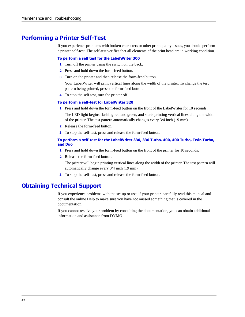# <span id="page-45-0"></span>**Performing a Printer Self-Test**

<span id="page-45-4"></span>If you experience problems with broken characters or other print quality issues, you should perform a printer self-test. The self-test verifies that all elements of the print head are in working condition.

#### **To perform a self test for the LabelWriter 300**

- **1** Turn off the printer using the switch on the back.
- **2** Press and hold down the form-feed button.
- **3** Turn on the printer and then release the form-feed button.

<span id="page-45-2"></span>Your LabelWriter will print vertical lines along the width of the printer. To change the test pattern being printed, press the form-feed button.

**4** To stop the self test, turn the printer off.

#### **To perform a self-test for LabelWriter 320**

**1** Press and hold down the form-feed button on the front of the LabelWriter for 10 seconds.

The LED light begins flashing red and green, and starts printing vertical lines along the width of the printer. The test pattern automatically changes every 3/4 inch (19 mm).

- **2** Release the form-feed button.
- **3** To stop the self-test, press and release the form-feed button.

#### **To perform a self-test for the LabelWriter 330, 330 Turbo, 400, 400 Turbo, Twin Turbo, and Duo**

- **1** Press and hold down the form-feed button on the front of the printer for 10 seconds.
- **2** Release the form-feed button.

The printer will begin printing vertical lines along the width of the printer. The test pattern will automatically change every 3/4 inch (19 mm).

**3** To stop the self-test, press and release the form-feed button.

# <span id="page-45-1"></span>**Obtaining Technical Support**

<span id="page-45-3"></span>If you experience problems with the set up or use of your printer, carefully read this manual and consult the online Help to make sure you have not missed something that is covered in the documentation.

If you cannot resolve your problem by consulting the documentation, you can obtain additional information and assistance from DYMO.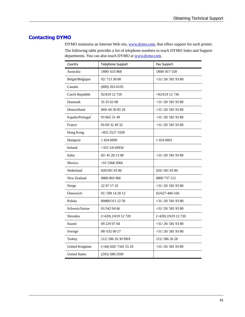# **Contacting DYMO**

DYMO maintains an Internet Web site, [www.dymo.com](http://www.dymo.com), that offers support for each printer. The following table provides a list of telephone numbers to reach DYMO Sales and Support departments. You can also reach DYMO at [www.dymo.com](http://www.dymo.com).

| Country              | Telephone Support      | Fax Support           |  |  |
|----------------------|------------------------|-----------------------|--|--|
| Australia            | 1800/633868            | 1800/817558           |  |  |
| België/Belgique      | 02/713 38 08           | $+31/20/5819380$      |  |  |
| Canada               | $(800)$ 263-6105       |                       |  |  |
| Czech Republik       | 02/619 12 720          | $+02/619$ 12 730      |  |  |
| Danmark              | 35 25 65 08            | $+31/20/5819380$      |  |  |
| Deutschland          | 069/66 56 85 29        | $+31/20/5819380$      |  |  |
| España/Portugal      | 91/662 31 49           | $+31/20/5819380$      |  |  |
| France               | 01/69 32 49 32         | $+31/20/5819380$      |  |  |
| Hong Kong            | +852 2527 1928         |                       |  |  |
| Hungaria             | 1 424 6600             | 1 424 6601            |  |  |
| Ireland              | +353 14118934          |                       |  |  |
| Italia               | 02/45 28 13 08         | $+31/20/5819380$      |  |  |
| Mexico               | $+0153682066$          |                       |  |  |
| Nederland            | 020/581 93 86          | 020/5819380           |  |  |
| New Zealand          | 0800 803 966           | 0800 737 212          |  |  |
| Norge                | 22 97 17 10            | $+31/20/5819380$      |  |  |
| Österreich           | 01/599 14 20 12        | 02/627-400-160        |  |  |
| Polska               | 00800/311 12 50        | $+31/20/5819380$      |  |  |
| Schweiz/Suisse       | 01/342 04 66           | $+31/20/5819380$      |  |  |
| Slovakia             | $(+420)$ 2/619 12 720  | $(+420)$ 2/619 12 730 |  |  |
| Suomi                | 09 229 07 04           | $+31/20/5819380$      |  |  |
| Sverige              | 08/632 00 57           | $+31/20/5819380$      |  |  |
| Turkey               | 212/286 26 30 PBX      | 212/286 26 28         |  |  |
| United Kingdom       | $(+44)$ 020/7341 55 29 | $+31/20/5819380$      |  |  |
| <b>United States</b> | $(203) 588 - 2500$     |                       |  |  |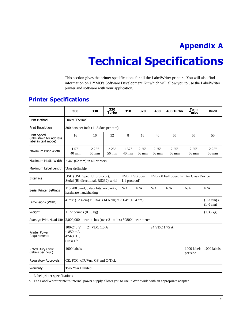# **Appendix A**

# <span id="page-48-3"></span><span id="page-48-0"></span>**Technical Specifications**

<span id="page-48-1"></span>This section gives the printer specifications for all the LabelWriter printers. You will also find information on DYMO's Software Development Kit which will allow you to use the LabelWriter printer and software with your application.

|                                                                                     | 300                                                                                  | 330 | 330<br>Turbo                          | 310                      | 320                                     | 400                 | 400 Turbo               | Twin<br>Turbo  | <b>Duoa</b>                           |
|-------------------------------------------------------------------------------------|--------------------------------------------------------------------------------------|-----|---------------------------------------|--------------------------|-----------------------------------------|---------------------|-------------------------|----------------|---------------------------------------|
| <b>Print Method</b>                                                                 | <b>Direct Thermal</b>                                                                |     |                                       |                          |                                         |                     |                         |                |                                       |
| <b>Print Resolution</b>                                                             | 300 dots per inch (11.8 dots per mm)                                                 |     |                                       |                          |                                         |                     |                         |                |                                       |
| <b>Print Speed</b><br>(labels/min for address<br>label in text mode)                | 16                                                                                   | 16  | 32                                    | 8                        | 16                                      | 40                  | 55                      | 55             | 55                                    |
| Maximum Print Width                                                                 | 2.25"<br>2.25"<br>1.57"<br>$40 \text{ mm}$<br>56 mm<br>56 mm                         |     |                                       | 1.57"<br>$40 \text{ mm}$ | 2.25"<br>56 mm                          | 2.25"<br>56 mm      | 2.25"<br>56 mm          | 2.25"<br>56 mm | 2.25"<br>56 mm                        |
| Maximum Media Width                                                                 | 2.44" (62 mm) in all printers                                                        |     |                                       |                          |                                         |                     |                         |                |                                       |
| User-definable<br>Maximum Label Length                                              |                                                                                      |     |                                       |                          |                                         |                     |                         |                |                                       |
| Interface                                                                           | USB (USB Spec 1.1 protocol);<br>Serial (Bi-directional, RS232) serial                |     | <b>USB</b> (USB Spec<br>1.1 protocol) |                          | USB 2.0 Full Speed Printer Class Device |                     |                         |                |                                       |
| Serial Printer Settings                                                             | 115,200 baud, 8 data bits, no parity,<br>hardware handshaking                        |     |                                       | N/A                      | N/A                                     | N/A                 | N/A                     | N/A            | N/A                                   |
| Dimensions (WHD)                                                                    | 4 7/8" (12.4 cm) x 5 3/4" (14.6 cm) x 7 1/4" (18.4 cm)                               |     |                                       |                          |                                         |                     |                         |                | $(183$ mm $)$ x<br>$(140 \text{ mm})$ |
| Weight                                                                              | 1 $1/2$ pounds $(0.68 \text{ kg})$                                                   |     |                                       |                          |                                         | $(1.35 \text{ kg})$ |                         |                |                                       |
| Average Print Head Life 2,000,000 linear inches (over 31 miles) 50800 linear meters |                                                                                      |     |                                       |                          |                                         |                     |                         |                |                                       |
| <b>Printer Power</b><br>Requirements                                                | 24 VDC 1.0 A<br>$100 - 240$ V<br>$\sim 850$ mA<br>47-63 Hz,<br>Class II <sup>b</sup> |     |                                       | 24 VDC 1.75 A            |                                         |                     |                         |                |                                       |
| Rated Duty Cycle<br>(labels per hour)                                               | 1000 labels                                                                          |     |                                       |                          |                                         |                     | 1000 labels<br>per side | 1000 labels    |                                       |
| <b>Regulatory Approvals</b>                                                         | CE, FCC, cTUVus, GS and C-Tick                                                       |     |                                       |                          |                                         |                     |                         |                |                                       |
| Warranty                                                                            | Two Year Limited                                                                     |     |                                       |                          |                                         |                     |                         |                |                                       |

# <span id="page-48-2"></span>**Printer Specifications**

a. Label printer specifications

b. The LabelWriter printer's internal power supply allows you to use it Worldwide with an appropriate adapter.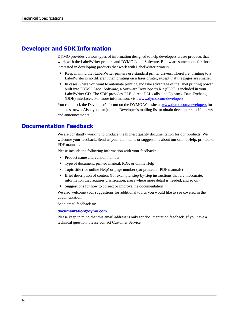# <span id="page-49-0"></span>**Developer and SDK Information**

DYMO provides various types of information designed to help developers create products that work with the LabelWriter printers and DYMO Label Software. Below are some notes for those interested in developing products that work with LabelWriter printers.

- Keep in mind that LabelWriter printers use standard printer drivers. Therefore, printing to a LabelWriter is no different than printing on a laser printer, except that the pages are smaller.
- In cases where you want to automate printing and take advantage of the label printing power built into DYMO Label Software, a Software Developer's Kit (SDK) is included in your LabelWriter CD. The SDK provides OLE, direct DLL calls, and Dynamic Data Exchange (DDE) interfaces. For more information, visit [www.dymo.com/developers.](http://www.dymo.com/developers)

You can check the Developer's forum on the DYMO Web site at www.dymo.com/developers for the latest news. Also, you can join the Developer's mailing list to obtain developer-specific news and announcements.

# <span id="page-49-1"></span>**Documentation Feedback**

We are constantly working to produce the highest quality documentation for our products. We welcome your feedback. Send us your comments or suggestions about our online Help, printed, or PDF manuals.

Please include the following information with your feedback:

- **•** Product name and version number
- **•** Type of document: printed manual, PDF, or online Help
- **•** Topic title (for online Help) or page number (for printed or PDF manuals)
- Brief description of content (for example, step-by-step instructions that are inaccurate, information that requires clarification, areas where more detail is needed, and so on)
- **•** Suggestions for how to correct or improve the documentation

We also welcome your suggestions for additional topics you would like to see covered in the documentation.

Send email feedback to:

#### **documentation@dymo.com**

Please keep in mind that this email address is only for documentation feedback. If you have a technical question, please contact Customer Service.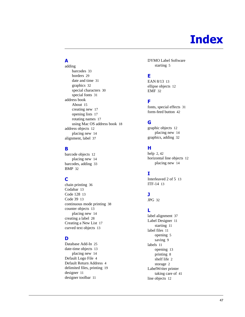# **Index**

# **A**

adding barcodes [33](#page-36-0) borders [29](#page-32-0) date and time [31](#page-34-0) graphics [32](#page-35-0) special characters [30](#page-33-0) special fonts [31](#page-34-1) address book About [15](#page-18-5) creating new [17](#page-20-2) opening lists [17](#page-20-3) rotating names [17](#page-20-4) using Mac OS address book [18](#page-21-1) address objects [12](#page-15-0) placing new [14](#page-17-2) alignment, label [37](#page-40-0)

# **B**

barcode objects [12](#page-15-1) placing new [14](#page-17-2) barcodes, adding [33](#page-36-0) BMP [32](#page-35-1)

# **C**

chain printing [36](#page-39-1) Codabar [13](#page-16-2) Code 128 [13](#page-16-3) Code 39 [13](#page-16-4) continuous mode printing [38](#page-41-0) counter objects [13](#page-16-5) placing new [14](#page-17-2) creating a label [28](#page-31-1) Creating a New List [17](#page-20-2) curved text objects [13](#page-16-6)

# **D**

Database Add-In [25](#page-28-2) date-time objects [13](#page-16-7) placing new [14](#page-17-2) Default Logo File [4](#page-7-2) Default Return Address [4](#page-7-2) delimited files, printing [19](#page-22-4) designer [11](#page-14-5) designer toolbar [11](#page-14-6)

DYMO Label Software starting [5](#page-8-0)

# **E**

EAN 8/13 [13](#page-16-8) ellipse objects [12](#page-15-2) EMF [32](#page-35-2)

# **F**

fonts, special effects [31](#page-34-1) form-feed button [42](#page-45-2)

# **G**

graphic objects [12](#page-15-3) placing new [14](#page-17-2) graphics, adding [32](#page-35-3)

# **H**

help [2,](#page-5-4) [42](#page-45-3) horizontal line objects [12](#page-15-4) placing new [14](#page-17-2)

# **I**

Interleaved 2 of 5 [13](#page-16-9) ITF-14 [13](#page-16-10)

# **J**

JPG [32](#page-35-4)

# **L**

label alignment [37](#page-40-0) Label Designer [11](#page-14-7) starting [11](#page-14-5) label files [11](#page-14-8) opening [5](#page-8-0) saving [9](#page-12-0) labels [11](#page-14-8) opening [13](#page-16-11) printing [8](#page-11-0) shelf life [2](#page-5-5) storage [2](#page-5-6) LabelWriter printer taking care of [41](#page-44-3) line objects [12](#page-15-4)